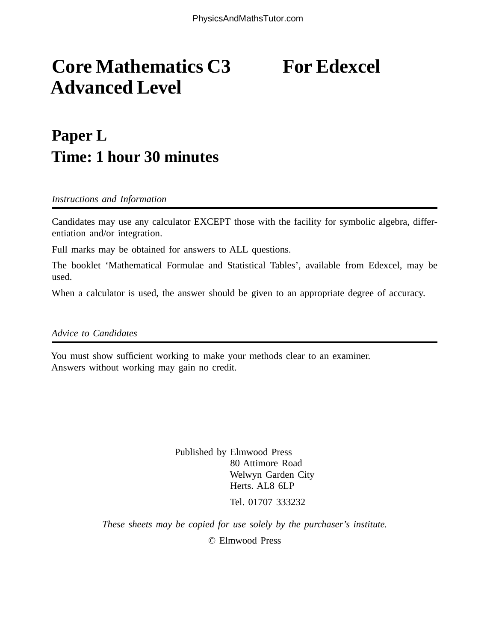# **Core Mathematics C3** For Edexcel **Advanced Level**

## **Paper L Time: 1 hour 30 minutes**

*Instructions and Information*

Candidates may use any calculator EXCEPT those with the facility for symbolic algebra, differentiation and/or integration.

Full marks may be obtained for answers to ALL questions.

The booklet 'Mathematical Formulae and Statistical Tables', available from Edexcel, may be used.

When a calculator is used, the answer should be given to an appropriate degree of accuracy.

*Advice to Candidates*

You must show sufficient working to make your methods clear to an examiner. Answers without working may gain no credit.

> Published by Elmwood Press 80 Attimore Road Welwyn Garden City Herts. AL8 6LP Tel. 01707 333232

*These sheets may be copied for use solely by the purchaser's institute.*

© Elmwood Press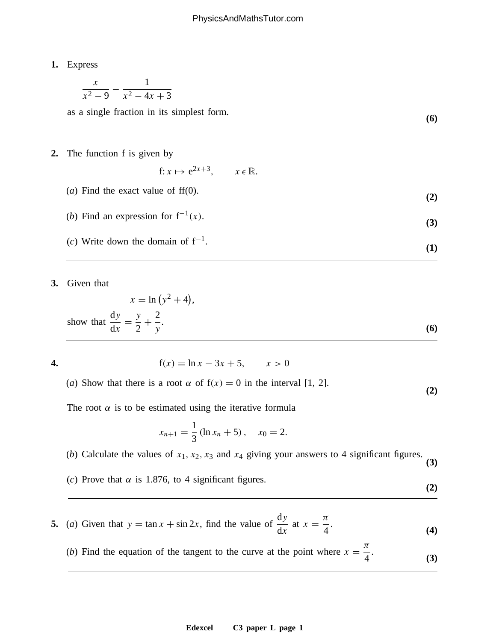### **1.** Express

$$
\frac{x}{x^2 - 9} - \frac{1}{x^2 - 4x + 3}
$$

as a single fraction in its simplest form. **(6)**

#### **2.** The function f is given by

$$
f: x \mapsto e^{2x+3}, \qquad x \in \mathbb{R}.
$$

- (*a*) Find the exact value of ff(0).  $(2)$
- (*b*) Find an expression for  $f^{-1}(x)$ . **(3)**
- (*c*) Write down the domain of  $f^{-1}$ . **(1)**
- **3.** Given that

$$
x = \ln(y^2 + 4),
$$
  
show that 
$$
\frac{dy}{dx} = \frac{y}{2} + \frac{2}{y}.
$$
 (6)

 $f(x) = \ln x - 3x + 5, \quad x > 0$ 

(*a*) Show that there is a root  $\alpha$  of  $f(x) = 0$  in the interval [1, 2]. **(2)** 

The root  $\alpha$  is to be estimated using the iterative formula

$$
x_{n+1} = \frac{1}{3} (\ln x_n + 5), \quad x_0 = 2.
$$

(*b*) Calculate the values of  $x_1, x_2, x_3$  and  $x_4$  giving your answers to 4 significant figures. **(3)** 

- 
- (*c*) Prove that  $\alpha$  is 1.876, to 4 significant figures. (2)

**5.** (*a*) Given that  $y = \tan x + \sin 2x$ , find the value of dy  $rac{\mathrm{dy}}{\mathrm{dx}}$  at  $x = \frac{\pi}{4}$  $(4)$ 

(*b*) Find the equation of the tangent to the curve at the point where  $x = \frac{\pi}{4}$  $(3)$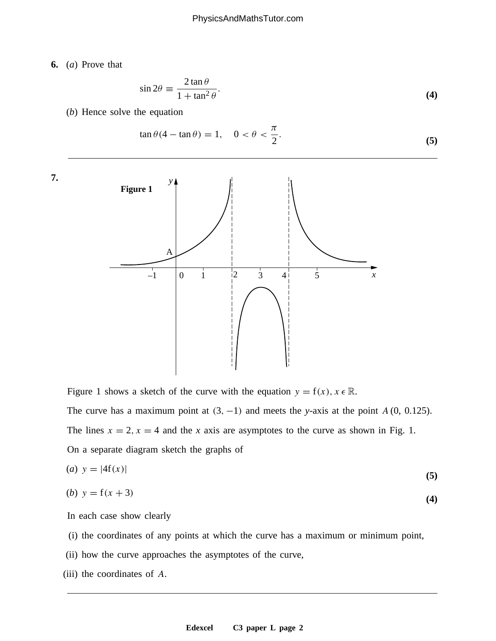**6.** (*a*) Prove that

$$
\sin 2\theta \equiv \frac{2 \tan \theta}{1 + \tan^2 \theta}.
$$
\n(4)

(*b*) Hence solve the equation

$$
\tan \theta (4 - \tan \theta) = 1, \quad 0 < \theta < \frac{\pi}{2}.\tag{5}
$$



Figure 1 shows a sketch of the curve with the equation  $y = f(x)$ ,  $x \in \mathbb{R}$ . The curve has a maximum point at  $(3, -1)$  and meets the *y*-axis at the point A  $(0, 0.125)$ . The lines  $x = 2$ ,  $x = 4$  and the *x* axis are asymptotes to the curve as shown in Fig. 1. On a separate diagram sketch the graphs of

$$
(a) \quad y = |4\mathbf{f}(x)| \tag{5}
$$

(b) 
$$
y = f(x+3)
$$
 (4)

In each case show clearly

- (i) the coordinates of any points at which the curve has a maximum or minimum point,
- (ii) how the curve approaches the asymptotes of the curve,
- (iii) the coordinates of A.